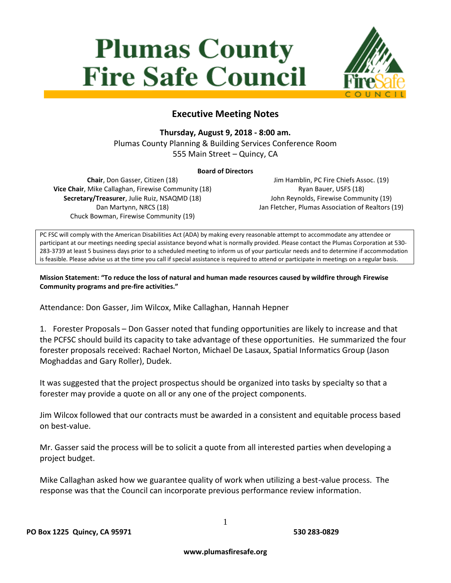## **Plumas County Fire Safe Council**



## **Executive Meeting Notes**

## **Thursday, August 9, 2018 - 8:00 am.**

Plumas County Planning & Building Services Conference Room 555 Main Street – Quincy, CA

## **Board of Directors**

**Chair**, Don Gasser, Citizen (18) **Vice Chair**, Mike Callaghan, Firewise Community (18) **Secretary/Treasurer**, Julie Ruiz, NSAQMD (18) Dan Martynn, NRCS (18) Chuck Bowman, Firewise Community (19)

Jim Hamblin, PC Fire Chiefs Assoc. (19) Ryan Bauer, USFS (18) John Reynolds, Firewise Community (19) Jan Fletcher, Plumas Association of Realtors (19)

PC FSC will comply with the American Disabilities Act (ADA) by making every reasonable attempt to accommodate any attendee or participant at our meetings needing special assistance beyond what is normally provided. Please contact the Plumas Corporation at 530- 283-3739 at least 5 business days prior to a scheduled meeting to inform us of your particular needs and to determine if accommodation is feasible. Please advise us at the time you call if special assistance is required to attend or participate in meetings on a regular basis.

**Mission Statement: "To reduce the loss of natural and human made resources caused by wildfire through Firewise Community programs and pre-fire activities."**

Attendance: Don Gasser, Jim Wilcox, Mike Callaghan, Hannah Hepner

1. Forester Proposals – Don Gasser noted that funding opportunities are likely to increase and that the PCFSC should build its capacity to take advantage of these opportunities. He summarized the four forester proposals received: Rachael Norton, Michael De Lasaux, Spatial Informatics Group (Jason Moghaddas and Gary Roller), Dudek.

It was suggested that the project prospectus should be organized into tasks by specialty so that a forester may provide a quote on all or any one of the project components.

Jim Wilcox followed that our contracts must be awarded in a consistent and equitable process based on best-value.

Mr. Gasser said the process will be to solicit a quote from all interested parties when developing a project budget.

Mike Callaghan asked how we guarantee quality of work when utilizing a best-value process. The response was that the Council can incorporate previous performance review information.

1